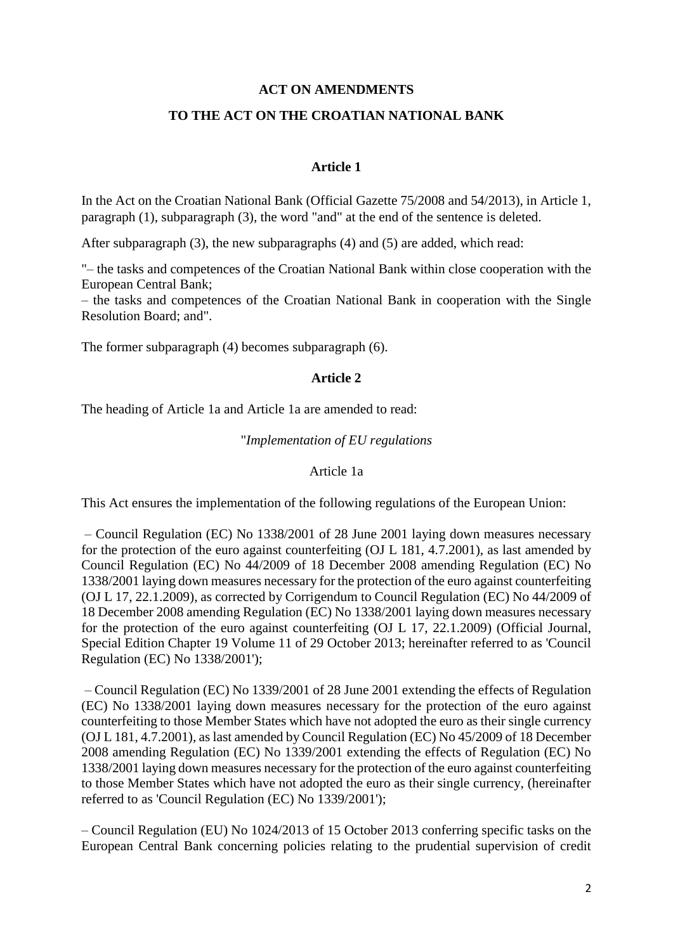### **ACT ON AMENDMENTS**

### **TO THE ACT ON THE CROATIAN NATIONAL BANK**

### **Article 1**

In the Act on the Croatian National Bank (Official Gazette 75/2008 and 54/2013), in Article 1, paragraph (1), subparagraph (3), the word "and" at the end of the sentence is deleted.

After subparagraph (3), the new subparagraphs (4) and (5) are added, which read:

"– the tasks and competences of the Croatian National Bank within close cooperation with the European Central Bank;

– the tasks and competences of the Croatian National Bank in cooperation with the Single Resolution Board; and".

The former subparagraph (4) becomes subparagraph (6).

### **Article 2**

The heading of Article 1a and Article 1a are amended to read:

### "*Implementation of EU regulations*

#### Article 1a

This Act ensures the implementation of the following regulations of the European Union:

– Council Regulation (EC) No 1338/2001 of 28 June 2001 laying down measures necessary for the protection of the euro against counterfeiting (OJ L 181, 4.7.2001), as last amended by Council Regulation (EC) No 44/2009 of 18 December 2008 amending Regulation (EC) No 1338/2001 laying down measures necessary for the protection of the euro against counterfeiting (OJ L 17, 22.1.2009), as corrected by Corrigendum to Council Regulation (EC) No 44/2009 of 18 December 2008 amending Regulation (EC) No 1338/2001 laying down measures necessary for the protection of the euro against counterfeiting (OJ L 17, 22.1.2009) (Official Journal, Special Edition Chapter 19 Volume 11 of 29 October 2013; hereinafter referred to as 'Council Regulation (EC) No 1338/2001');

– Council Regulation (EC) No 1339/2001 of 28 June 2001 extending the effects of Regulation (EC) No 1338/2001 laying down measures necessary for the protection of the euro against counterfeiting to those Member States which have not adopted the euro as their single currency (OJ L 181, 4.7.2001), as last amended by Council Regulation (EC) No 45/2009 of 18 December 2008 amending Regulation (EC) No 1339/2001 extending the effects of Regulation (EC) No 1338/2001 laying down measures necessary for the protection of the euro against counterfeiting to those Member States which have not adopted the euro as their single currency, (hereinafter referred to as 'Council Regulation (EC) No 1339/2001');

– Council Regulation (EU) No 1024/2013 of 15 October 2013 conferring specific tasks on the European Central Bank concerning policies relating to the prudential supervision of credit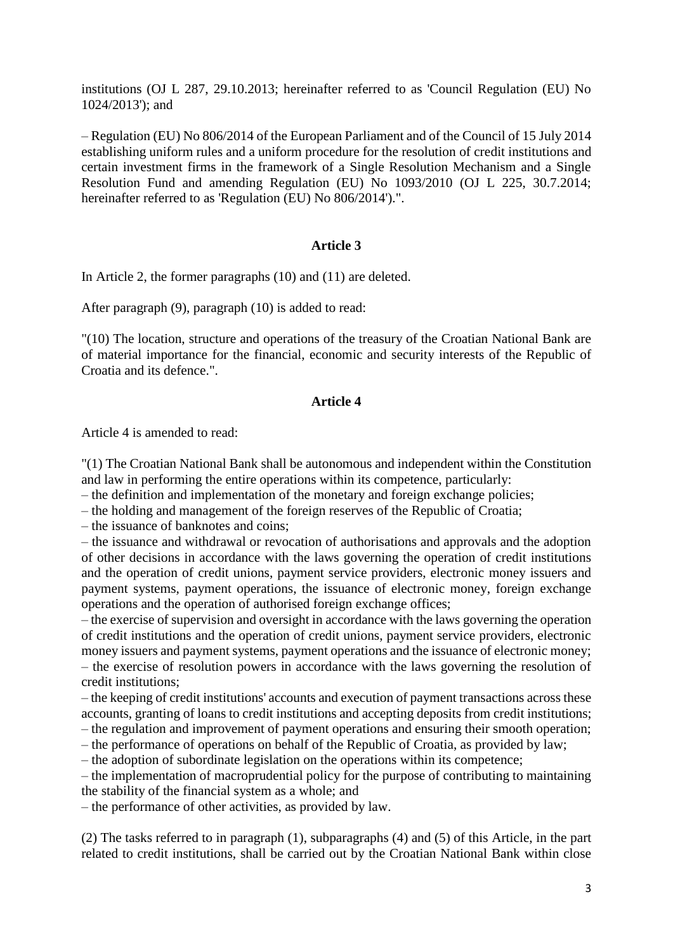institutions (OJ L 287, 29.10.2013; hereinafter referred to as 'Council Regulation (EU) No 1024/2013'); and

– Regulation (EU) No 806/2014 of the European Parliament and of the Council of 15 July 2014 establishing uniform rules and a uniform procedure for the resolution of credit institutions and certain investment firms in the framework of a Single Resolution Mechanism and a Single Resolution Fund and amending Regulation (EU) No 1093/2010 (OJ L 225, 30.7.2014; hereinafter referred to as 'Regulation (EU) No 806/2014').".

### **Article 3**

In Article 2, the former paragraphs (10) and (11) are deleted.

After paragraph (9), paragraph (10) is added to read:

"(10) The location, structure and operations of the treasury of the Croatian National Bank are of material importance for the financial, economic and security interests of the Republic of Croatia and its defence.".

### **Article 4**

Article 4 is amended to read:

"(1) The Croatian National Bank shall be autonomous and independent within the Constitution and law in performing the entire operations within its competence, particularly:

– the definition and implementation of the monetary and foreign exchange policies;

– the holding and management of the foreign reserves of the Republic of Croatia;

– the issuance of banknotes and coins;

– the issuance and withdrawal or revocation of authorisations and approvals and the adoption of other decisions in accordance with the laws governing the operation of credit institutions and the operation of credit unions, payment service providers, electronic money issuers and payment systems, payment operations, the issuance of electronic money, foreign exchange operations and the operation of authorised foreign exchange offices;

– the exercise of supervision and oversight in accordance with the laws governing the operation of credit institutions and the operation of credit unions, payment service providers, electronic money issuers and payment systems, payment operations and the issuance of electronic money; – the exercise of resolution powers in accordance with the laws governing the resolution of credit institutions;

– the keeping of credit institutions' accounts and execution of payment transactions across these accounts, granting of loans to credit institutions and accepting deposits from credit institutions; – the regulation and improvement of payment operations and ensuring their smooth operation;

– the performance of operations on behalf of the Republic of Croatia, as provided by law;

– the adoption of subordinate legislation on the operations within its competence;

– the implementation of macroprudential policy for the purpose of contributing to maintaining the stability of the financial system as a whole; and

– the performance of other activities, as provided by law.

(2) The tasks referred to in paragraph (1), subparagraphs (4) and (5) of this Article, in the part related to credit institutions, shall be carried out by the Croatian National Bank within close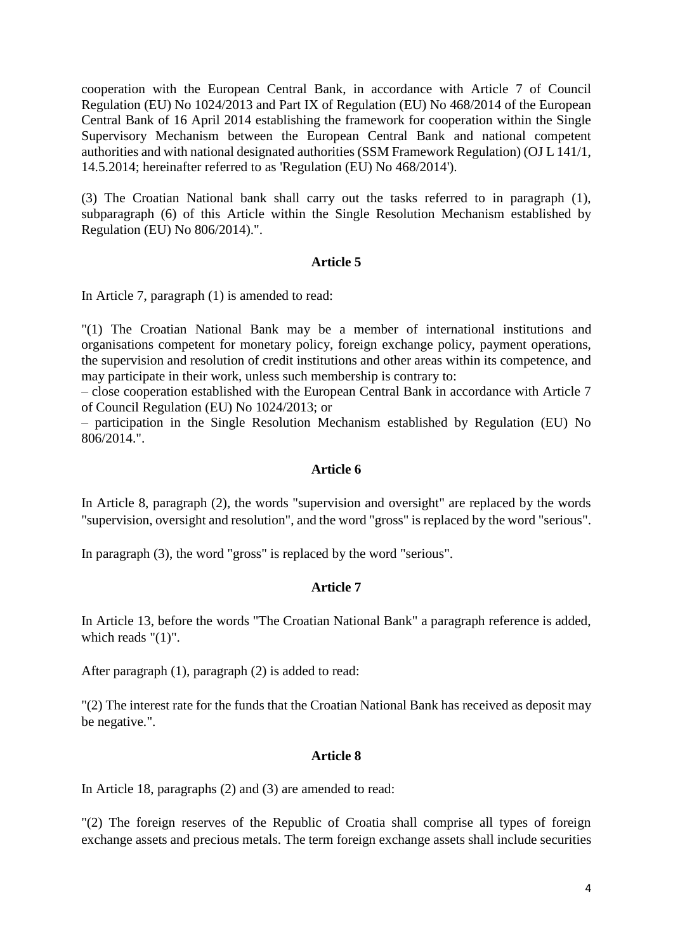cooperation with the European Central Bank, in accordance with Article 7 of Council Regulation (EU) No 1024/2013 and Part IX of Regulation (EU) No 468/2014 of the European Central Bank of 16 April 2014 establishing the framework for cooperation within the Single Supervisory Mechanism between the European Central Bank and national competent authorities and with national designated authorities (SSM Framework Regulation) (OJ L 141/1, 14.5.2014; hereinafter referred to as 'Regulation (EU) No 468/2014').

(3) The Croatian National bank shall carry out the tasks referred to in paragraph (1), subparagraph (6) of this Article within the Single Resolution Mechanism established by Regulation (EU) No 806/2014).".

### **Article 5**

In Article 7, paragraph (1) is amended to read:

"(1) The Croatian National Bank may be a member of international institutions and organisations competent for monetary policy, foreign exchange policy, payment operations, the supervision and resolution of credit institutions and other areas within its competence, and may participate in their work, unless such membership is contrary to:

– close cooperation established with the European Central Bank in accordance with Article 7 of Council Regulation (EU) No 1024/2013; or

– participation in the Single Resolution Mechanism established by Regulation (EU) No 806/2014.".

### **Article 6**

In Article 8, paragraph (2), the words "supervision and oversight" are replaced by the words "supervision, oversight and resolution", and the word "gross" is replaced by the word "serious".

In paragraph (3), the word "gross" is replaced by the word "serious".

### **Article 7**

In Article 13, before the words "The Croatian National Bank" a paragraph reference is added, which reads "(1)".

After paragraph (1), paragraph (2) is added to read:

"(2) The interest rate for the funds that the Croatian National Bank has received as deposit may be negative.".

#### **Article 8**

In Article 18, paragraphs (2) and (3) are amended to read:

"(2) The foreign reserves of the Republic of Croatia shall comprise all types of foreign exchange assets and precious metals. The term foreign exchange assets shall include securities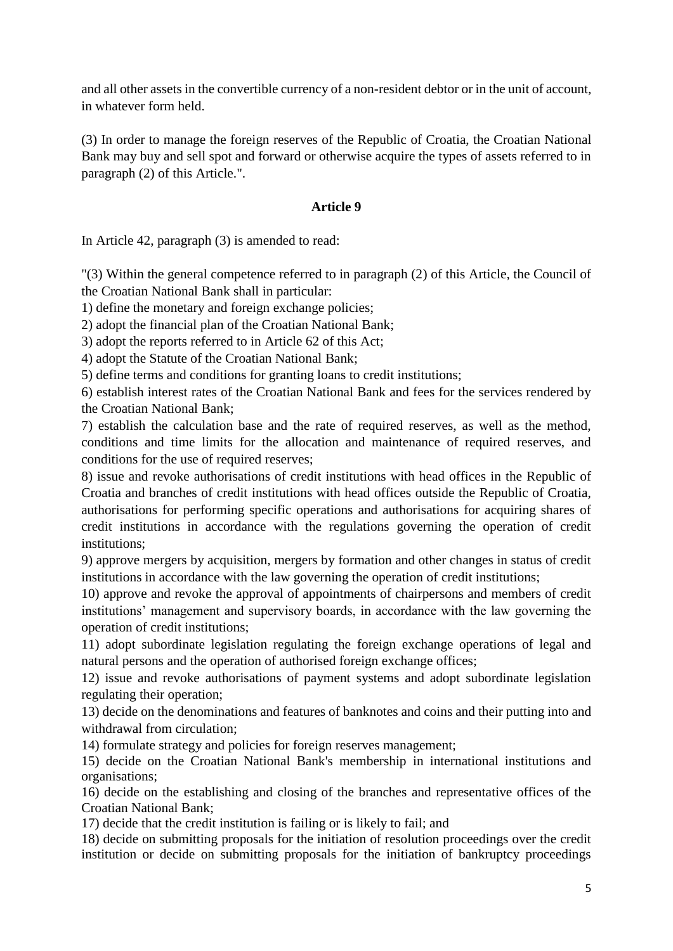and all other assets in the convertible currency of a non-resident debtor or in the unit of account, in whatever form held.

(3) In order to manage the foreign reserves of the Republic of Croatia, the Croatian National Bank may buy and sell spot and forward or otherwise acquire the types of assets referred to in paragraph (2) of this Article.".

# **Article 9**

In Article 42, paragraph (3) is amended to read:

"(3) Within the general competence referred to in paragraph (2) of this Article, the Council of the Croatian National Bank shall in particular:

1) define the monetary and foreign exchange policies;

2) adopt the financial plan of the Croatian National Bank;

3) adopt the reports referred to in Article 62 of this Act;

4) adopt the Statute of the Croatian National Bank;

5) define terms and conditions for granting loans to credit institutions;

6) establish interest rates of the Croatian National Bank and fees for the services rendered by the Croatian National Bank;

7) establish the calculation base and the rate of required reserves, as well as the method, conditions and time limits for the allocation and maintenance of required reserves, and conditions for the use of required reserves;

8) issue and revoke authorisations of credit institutions with head offices in the Republic of Croatia and branches of credit institutions with head offices outside the Republic of Croatia, authorisations for performing specific operations and authorisations for acquiring shares of credit institutions in accordance with the regulations governing the operation of credit institutions;

9) approve mergers by acquisition, mergers by formation and other changes in status of credit institutions in accordance with the law governing the operation of credit institutions;

10) approve and revoke the approval of appointments of chairpersons and members of credit institutions' management and supervisory boards, in accordance with the law governing the operation of credit institutions;

11) adopt subordinate legislation regulating the foreign exchange operations of legal and natural persons and the operation of authorised foreign exchange offices;

12) issue and revoke authorisations of payment systems and adopt subordinate legislation regulating their operation;

13) decide on the denominations and features of banknotes and coins and their putting into and withdrawal from circulation;

14) formulate strategy and policies for foreign reserves management;

15) decide on the Croatian National Bank's membership in international institutions and organisations;

16) decide on the establishing and closing of the branches and representative offices of the Croatian National Bank;

17) decide that the credit institution is failing or is likely to fail; and

18) decide on submitting proposals for the initiation of resolution proceedings over the credit institution or decide on submitting proposals for the initiation of bankruptcy proceedings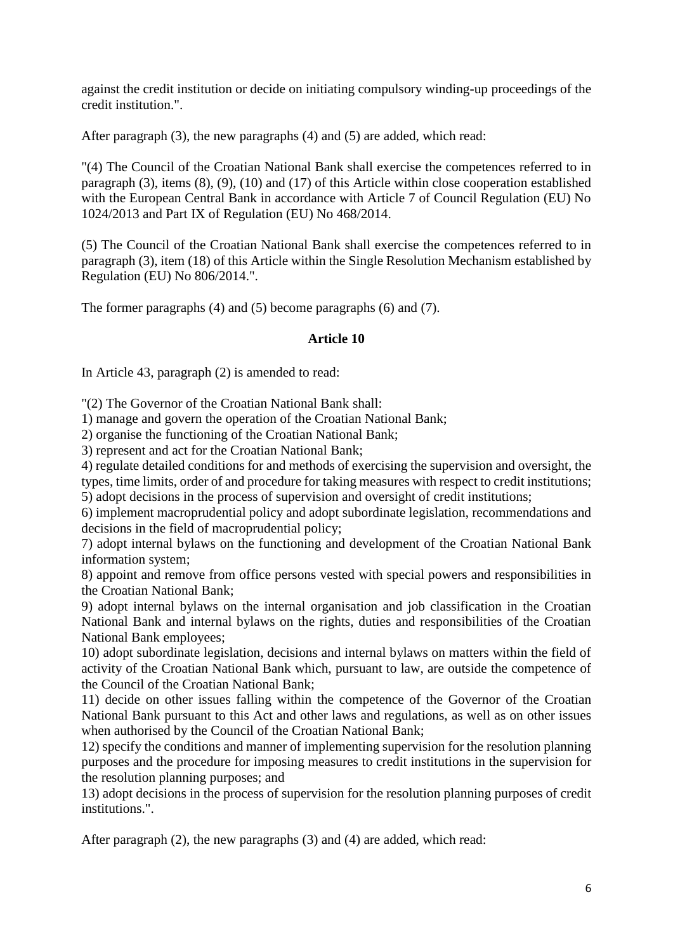against the credit institution or decide on initiating compulsory winding-up proceedings of the credit institution.".

After paragraph (3), the new paragraphs (4) and (5) are added, which read:

"(4) The Council of the Croatian National Bank shall exercise the competences referred to in paragraph (3), items (8), (9), (10) and (17) of this Article within close cooperation established with the European Central Bank in accordance with Article 7 of Council Regulation (EU) No 1024/2013 and Part IX of Regulation (EU) No 468/2014.

(5) The Council of the Croatian National Bank shall exercise the competences referred to in paragraph (3), item (18) of this Article within the Single Resolution Mechanism established by Regulation (EU) No 806/2014.".

The former paragraphs (4) and (5) become paragraphs (6) and (7).

# **Article 10**

In Article 43, paragraph (2) is amended to read:

"(2) The Governor of the Croatian National Bank shall:

1) manage and govern the operation of the Croatian National Bank;

2) organise the functioning of the Croatian National Bank;

3) represent and act for the Croatian National Bank;

4) regulate detailed conditions for and methods of exercising the supervision and oversight, the types, time limits, order of and procedure for taking measures with respect to credit institutions; 5) adopt decisions in the process of supervision and oversight of credit institutions;

6) implement macroprudential policy and adopt subordinate legislation, recommendations and decisions in the field of macroprudential policy;

7) adopt internal bylaws on the functioning and development of the Croatian National Bank information system;

8) appoint and remove from office persons vested with special powers and responsibilities in the Croatian National Bank;

9) adopt internal bylaws on the internal organisation and job classification in the Croatian National Bank and internal bylaws on the rights, duties and responsibilities of the Croatian National Bank employees;

10) adopt subordinate legislation, decisions and internal bylaws on matters within the field of activity of the Croatian National Bank which, pursuant to law, are outside the competence of the Council of the Croatian National Bank;

11) decide on other issues falling within the competence of the Governor of the Croatian National Bank pursuant to this Act and other laws and regulations, as well as on other issues when authorised by the Council of the Croatian National Bank;

12) specify the conditions and manner of implementing supervision for the resolution planning purposes and the procedure for imposing measures to credit institutions in the supervision for the resolution planning purposes; and

13) adopt decisions in the process of supervision for the resolution planning purposes of credit institutions.".

After paragraph (2), the new paragraphs (3) and (4) are added, which read: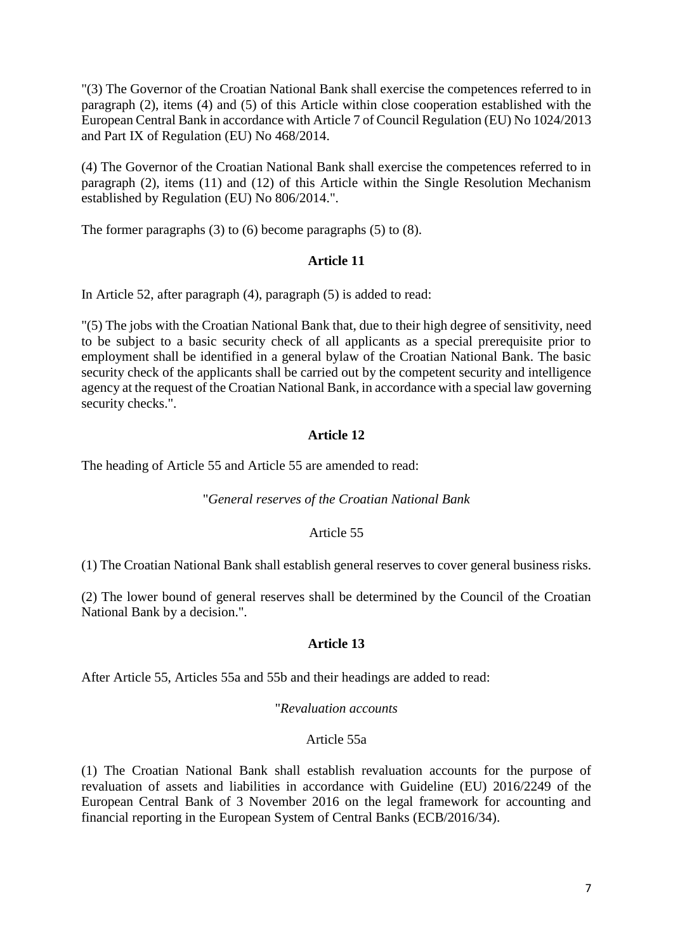"(3) The Governor of the Croatian National Bank shall exercise the competences referred to in paragraph (2), items (4) and (5) of this Article within close cooperation established with the European Central Bank in accordance with Article 7 of Council Regulation (EU) No 1024/2013 and Part IX of Regulation (EU) No 468/2014.

(4) The Governor of the Croatian National Bank shall exercise the competences referred to in paragraph (2), items (11) and (12) of this Article within the Single Resolution Mechanism established by Regulation (EU) No 806/2014.".

The former paragraphs (3) to (6) become paragraphs (5) to (8).

## **Article 11**

In Article 52, after paragraph (4), paragraph (5) is added to read:

"(5) The jobs with the Croatian National Bank that, due to their high degree of sensitivity, need to be subject to a basic security check of all applicants as a special prerequisite prior to employment shall be identified in a general bylaw of the Croatian National Bank. The basic security check of the applicants shall be carried out by the competent security and intelligence agency at the request of the Croatian National Bank, in accordance with a special law governing security checks.".

# **Article 12**

The heading of Article 55 and Article 55 are amended to read:

### "*General reserves of the Croatian National Bank*

### Article 55

(1) The Croatian National Bank shall establish general reserves to cover general business risks.

(2) The lower bound of general reserves shall be determined by the Council of the Croatian National Bank by a decision.".

### **Article 13**

After Article 55, Articles 55a and 55b and their headings are added to read:

### "*Revaluation accounts*

### Article 55a

(1) The Croatian National Bank shall establish revaluation accounts for the purpose of revaluation of assets and liabilities in accordance with Guideline (EU) 2016/2249 of the European Central Bank of 3 November 2016 on the legal framework for accounting and financial reporting in the European System of Central Banks (ECB/2016/34).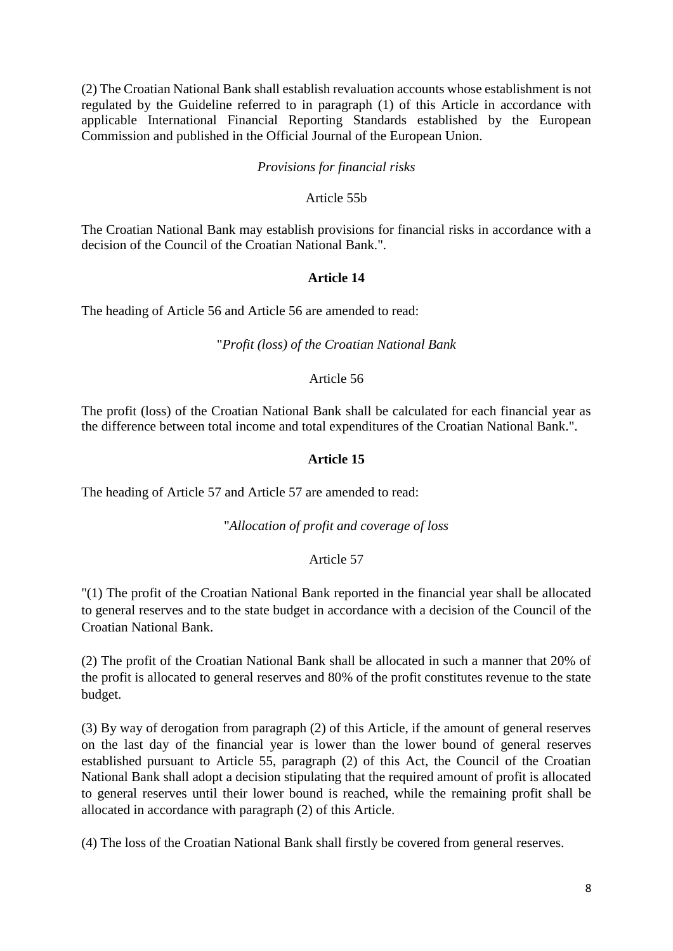(2) The Croatian National Bank shall establish revaluation accounts whose establishment is not regulated by the Guideline referred to in paragraph (1) of this Article in accordance with applicable International Financial Reporting Standards established by the European Commission and published in the Official Journal of the European Union.

## *Provisions for financial risks*

## Article 55b

The Croatian National Bank may establish provisions for financial risks in accordance with a decision of the Council of the Croatian National Bank.".

## **Article 14**

The heading of Article 56 and Article 56 are amended to read:

## "*Profit (loss) of the Croatian National Bank*

### Article 56

The profit (loss) of the Croatian National Bank shall be calculated for each financial year as the difference between total income and total expenditures of the Croatian National Bank.".

# **Article 15**

The heading of Article 57 and Article 57 are amended to read:

# "*Allocation of profit and coverage of loss*

# Article 57

"(1) The profit of the Croatian National Bank reported in the financial year shall be allocated to general reserves and to the state budget in accordance with a decision of the Council of the Croatian National Bank.

(2) The profit of the Croatian National Bank shall be allocated in such a manner that 20% of the profit is allocated to general reserves and 80% of the profit constitutes revenue to the state budget.

(3) By way of derogation from paragraph (2) of this Article, if the amount of general reserves on the last day of the financial year is lower than the lower bound of general reserves established pursuant to Article 55, paragraph (2) of this Act, the Council of the Croatian National Bank shall adopt a decision stipulating that the required amount of profit is allocated to general reserves until their lower bound is reached, while the remaining profit shall be allocated in accordance with paragraph (2) of this Article.

(4) The loss of the Croatian National Bank shall firstly be covered from general reserves.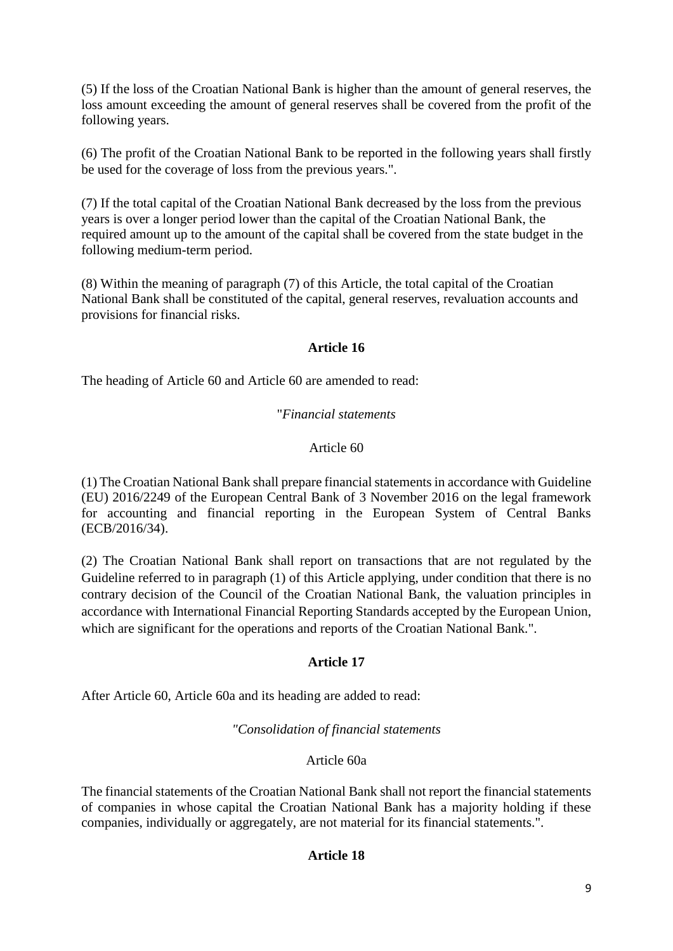(5) If the loss of the Croatian National Bank is higher than the amount of general reserves, the loss amount exceeding the amount of general reserves shall be covered from the profit of the following years.

(6) The profit of the Croatian National Bank to be reported in the following years shall firstly be used for the coverage of loss from the previous years.".

(7) If the total capital of the Croatian National Bank decreased by the loss from the previous years is over a longer period lower than the capital of the Croatian National Bank, the required amount up to the amount of the capital shall be covered from the state budget in the following medium-term period.

(8) Within the meaning of paragraph (7) of this Article, the total capital of the Croatian National Bank shall be constituted of the capital, general reserves, revaluation accounts and provisions for financial risks.

# **Article 16**

The heading of Article 60 and Article 60 are amended to read:

# "*Financial statements*

## Article 60

(1) The Croatian National Bank shall prepare financial statements in accordance with Guideline (EU) 2016/2249 of the European Central Bank of 3 November 2016 on the legal framework for accounting and financial reporting in the European System of Central Banks (ECB/2016/34).

(2) The Croatian National Bank shall report on transactions that are not regulated by the Guideline referred to in paragraph (1) of this Article applying, under condition that there is no contrary decision of the Council of the Croatian National Bank, the valuation principles in accordance with International Financial Reporting Standards accepted by the European Union, which are significant for the operations and reports of the Croatian National Bank.".

### **Article 17**

After Article 60, Article 60a and its heading are added to read:

### *"Consolidation of financial statements*

# Article 60a

The financial statements of the Croatian National Bank shall not report the financial statements of companies in whose capital the Croatian National Bank has a majority holding if these companies, individually or aggregately, are not material for its financial statements.".

### **Article 18**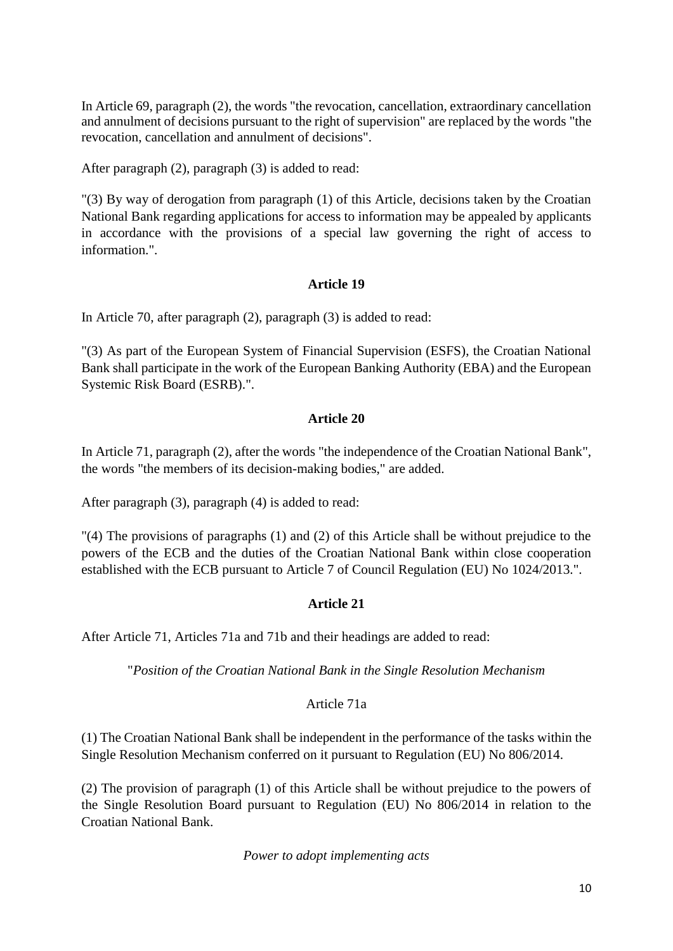In Article 69, paragraph (2), the words "the revocation, cancellation, extraordinary cancellation and annulment of decisions pursuant to the right of supervision" are replaced by the words "the revocation, cancellation and annulment of decisions".

After paragraph (2), paragraph (3) is added to read:

"(3) By way of derogation from paragraph (1) of this Article, decisions taken by the Croatian National Bank regarding applications for access to information may be appealed by applicants in accordance with the provisions of a special law governing the right of access to information."

# **Article 19**

In Article 70, after paragraph (2), paragraph (3) is added to read:

"(3) As part of the European System of Financial Supervision (ESFS), the Croatian National Bank shall participate in the work of the European Banking Authority (EBA) and the European Systemic Risk Board (ESRB).".

# **Article 20**

In Article 71, paragraph (2), after the words "the independence of the Croatian National Bank", the words "the members of its decision-making bodies," are added.

After paragraph (3), paragraph (4) is added to read:

"(4) The provisions of paragraphs (1) and (2) of this Article shall be without prejudice to the powers of the ECB and the duties of the Croatian National Bank within close cooperation established with the ECB pursuant to Article 7 of Council Regulation (EU) No 1024/2013.".

# **Article 21**

After Article 71, Articles 71a and 71b and their headings are added to read:

"*Position of the Croatian National Bank in the Single Resolution Mechanism*

# Article 71a

(1) The Croatian National Bank shall be independent in the performance of the tasks within the Single Resolution Mechanism conferred on it pursuant to Regulation (EU) No 806/2014.

(2) The provision of paragraph (1) of this Article shall be without prejudice to the powers of the Single Resolution Board pursuant to Regulation (EU) No 806/2014 in relation to the Croatian National Bank.

*Power to adopt implementing acts*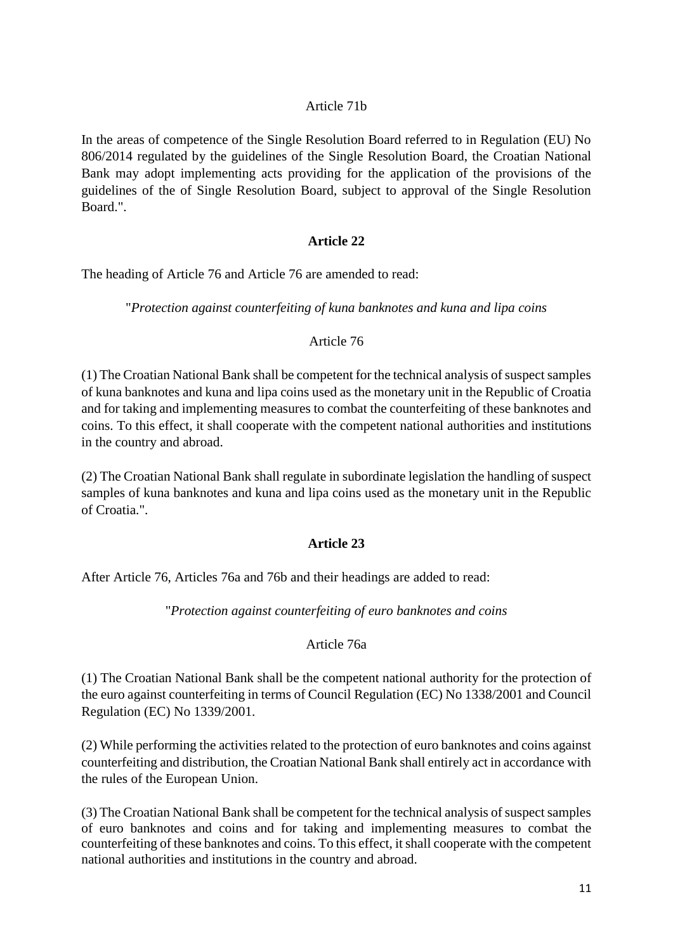# Article 71b

In the areas of competence of the Single Resolution Board referred to in Regulation (EU) No 806/2014 regulated by the guidelines of the Single Resolution Board, the Croatian National Bank may adopt implementing acts providing for the application of the provisions of the guidelines of the of Single Resolution Board, subject to approval of the Single Resolution Board."

## **Article 22**

The heading of Article 76 and Article 76 are amended to read:

"*Protection against counterfeiting of kuna banknotes and kuna and lipa coins*

## Article 76

(1) The Croatian National Bank shall be competent for the technical analysis of suspect samples of kuna banknotes and kuna and lipa coins used as the monetary unit in the Republic of Croatia and for taking and implementing measures to combat the counterfeiting of these banknotes and coins. To this effect, it shall cooperate with the competent national authorities and institutions in the country and abroad.

(2) The Croatian National Bank shall regulate in subordinate legislation the handling of suspect samples of kuna banknotes and kuna and lipa coins used as the monetary unit in the Republic of Croatia.".

# **Article 23**

After Article 76, Articles 76a and 76b and their headings are added to read:

"*Protection against counterfeiting of euro banknotes and coins*

# Article 76a

(1) The Croatian National Bank shall be the competent national authority for the protection of the euro against counterfeiting in terms of Council Regulation (EC) No 1338/2001 and Council Regulation (EC) No 1339/2001.

(2) While performing the activities related to the protection of euro banknotes and coins against counterfeiting and distribution, the Croatian National Bank shall entirely act in accordance with the rules of the European Union.

(3) The Croatian National Bank shall be competent for the technical analysis of suspect samples of euro banknotes and coins and for taking and implementing measures to combat the counterfeiting of these banknotes and coins. To this effect, it shall cooperate with the competent national authorities and institutions in the country and abroad.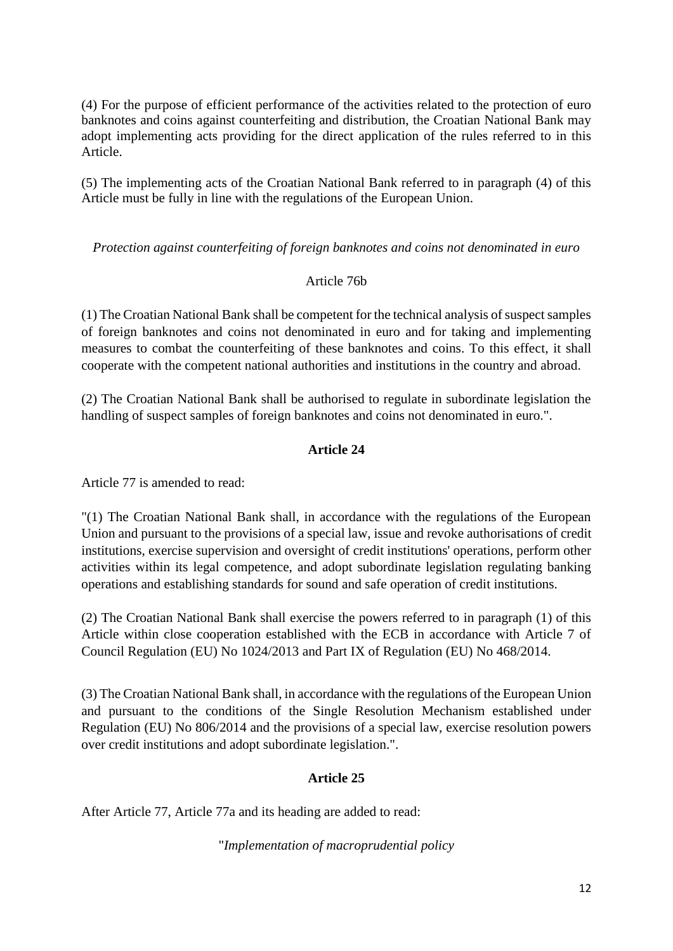(4) For the purpose of efficient performance of the activities related to the protection of euro banknotes and coins against counterfeiting and distribution, the Croatian National Bank may adopt implementing acts providing for the direct application of the rules referred to in this Article.

(5) The implementing acts of the Croatian National Bank referred to in paragraph (4) of this Article must be fully in line with the regulations of the European Union.

*Protection against counterfeiting of foreign banknotes and coins not denominated in euro*

# Article 76b

(1) The Croatian National Bank shall be competent for the technical analysis of suspect samples of foreign banknotes and coins not denominated in euro and for taking and implementing measures to combat the counterfeiting of these banknotes and coins. To this effect, it shall cooperate with the competent national authorities and institutions in the country and abroad.

(2) The Croatian National Bank shall be authorised to regulate in subordinate legislation the handling of suspect samples of foreign banknotes and coins not denominated in euro.".

# **Article 24**

Article 77 is amended to read:

"(1) The Croatian National Bank shall, in accordance with the regulations of the European Union and pursuant to the provisions of a special law, issue and revoke authorisations of credit institutions, exercise supervision and oversight of credit institutions' operations, perform other activities within its legal competence, and adopt subordinate legislation regulating banking operations and establishing standards for sound and safe operation of credit institutions.

(2) The Croatian National Bank shall exercise the powers referred to in paragraph (1) of this Article within close cooperation established with the ECB in accordance with Article 7 of Council Regulation (EU) No 1024/2013 and Part IX of Regulation (EU) No 468/2014.

(3) The Croatian National Bank shall, in accordance with the regulations of the European Union and pursuant to the conditions of the Single Resolution Mechanism established under Regulation (EU) No 806/2014 and the provisions of a special law, exercise resolution powers over credit institutions and adopt subordinate legislation.".

# **Article 25**

After Article 77, Article 77a and its heading are added to read:

"*Implementation of macroprudential policy*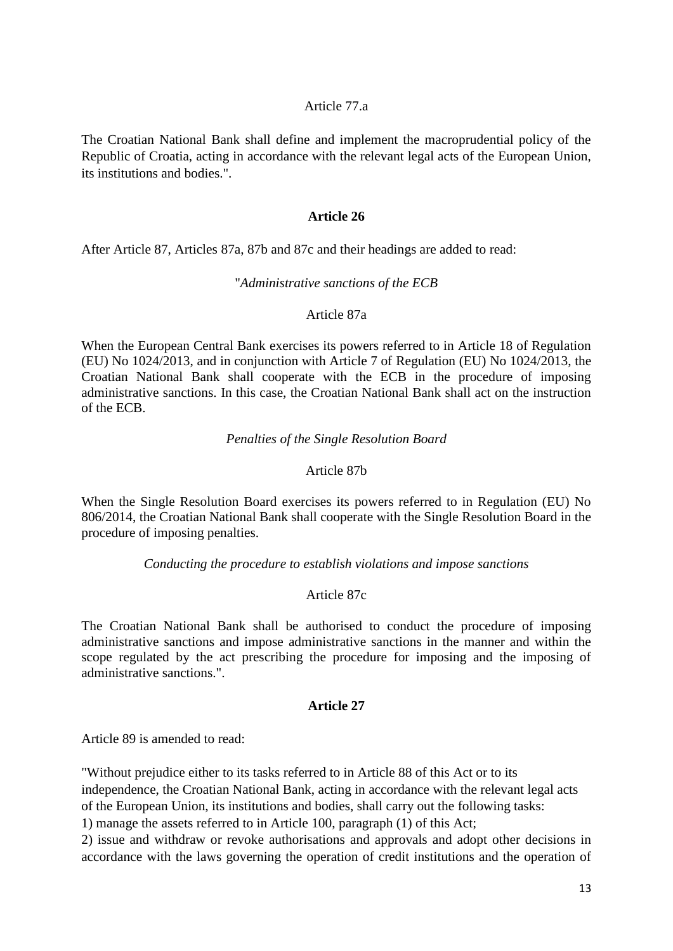### Article 77.a

The Croatian National Bank shall define and implement the macroprudential policy of the Republic of Croatia, acting in accordance with the relevant legal acts of the European Union, its institutions and bodies.".

### **Article 26**

After Article 87, Articles 87a, 87b and 87c and their headings are added to read:

#### "*Administrative sanctions of the ECB*

### Article 87a

When the European Central Bank exercises its powers referred to in Article 18 of Regulation (EU) No 1024/2013, and in conjunction with Article 7 of Regulation (EU) No 1024/2013, the Croatian National Bank shall cooperate with the ECB in the procedure of imposing administrative sanctions. In this case, the Croatian National Bank shall act on the instruction of the ECB.

### *Penalties of the Single Resolution Board*

### Article 87b

When the Single Resolution Board exercises its powers referred to in Regulation (EU) No 806/2014, the Croatian National Bank shall cooperate with the Single Resolution Board in the procedure of imposing penalties.

### *Conducting the procedure to establish violations and impose sanctions*

### Article 87c

The Croatian National Bank shall be authorised to conduct the procedure of imposing administrative sanctions and impose administrative sanctions in the manner and within the scope regulated by the act prescribing the procedure for imposing and the imposing of administrative sanctions.".

### **Article 27**

Article 89 is amended to read:

"Without prejudice either to its tasks referred to in Article 88 of this Act or to its independence, the Croatian National Bank, acting in accordance with the relevant legal acts of the European Union, its institutions and bodies, shall carry out the following tasks:

1) manage the assets referred to in Article 100, paragraph (1) of this Act;

2) issue and withdraw or revoke authorisations and approvals and adopt other decisions in accordance with the laws governing the operation of credit institutions and the operation of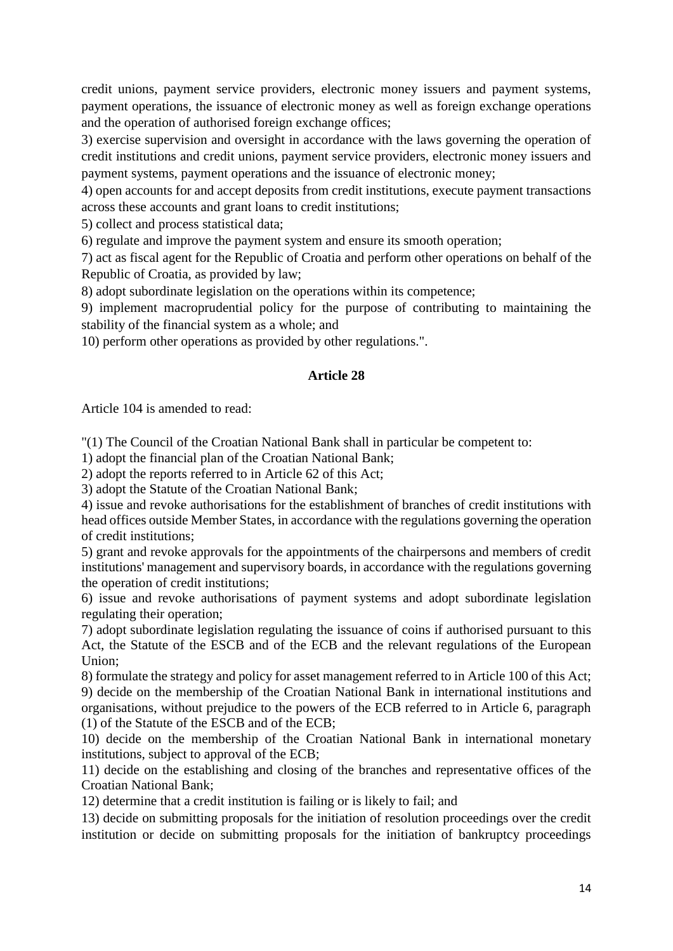credit unions, payment service providers, electronic money issuers and payment systems, payment operations, the issuance of electronic money as well as foreign exchange operations and the operation of authorised foreign exchange offices;

3) exercise supervision and oversight in accordance with the laws governing the operation of credit institutions and credit unions, payment service providers, electronic money issuers and payment systems, payment operations and the issuance of electronic money;

4) open accounts for and accept deposits from credit institutions, execute payment transactions across these accounts and grant loans to credit institutions;

5) collect and process statistical data;

6) regulate and improve the payment system and ensure its smooth operation;

7) act as fiscal agent for the Republic of Croatia and perform other operations on behalf of the Republic of Croatia, as provided by law;

8) adopt subordinate legislation on the operations within its competence;

9) implement macroprudential policy for the purpose of contributing to maintaining the stability of the financial system as a whole; and

10) perform other operations as provided by other regulations.".

## **Article 28**

Article 104 is amended to read:

"(1) The Council of the Croatian National Bank shall in particular be competent to:

1) adopt the financial plan of the Croatian National Bank;

2) adopt the reports referred to in Article 62 of this Act;

3) adopt the Statute of the Croatian National Bank;

4) issue and revoke authorisations for the establishment of branches of credit institutions with head offices outside Member States, in accordance with the regulations governing the operation of credit institutions;

5) grant and revoke approvals for the appointments of the chairpersons and members of credit institutions' management and supervisory boards, in accordance with the regulations governing the operation of credit institutions;

6) issue and revoke authorisations of payment systems and adopt subordinate legislation regulating their operation;

7) adopt subordinate legislation regulating the issuance of coins if authorised pursuant to this Act, the Statute of the ESCB and of the ECB and the relevant regulations of the European Union;

8) formulate the strategy and policy for asset management referred to in Article 100 of this Act; 9) decide on the membership of the Croatian National Bank in international institutions and organisations, without prejudice to the powers of the ECB referred to in Article 6, paragraph (1) of the Statute of the ESCB and of the ECB;

10) decide on the membership of the Croatian National Bank in international monetary institutions, subject to approval of the ECB;

11) decide on the establishing and closing of the branches and representative offices of the Croatian National Bank;

12) determine that a credit institution is failing or is likely to fail; and

13) decide on submitting proposals for the initiation of resolution proceedings over the credit institution or decide on submitting proposals for the initiation of bankruptcy proceedings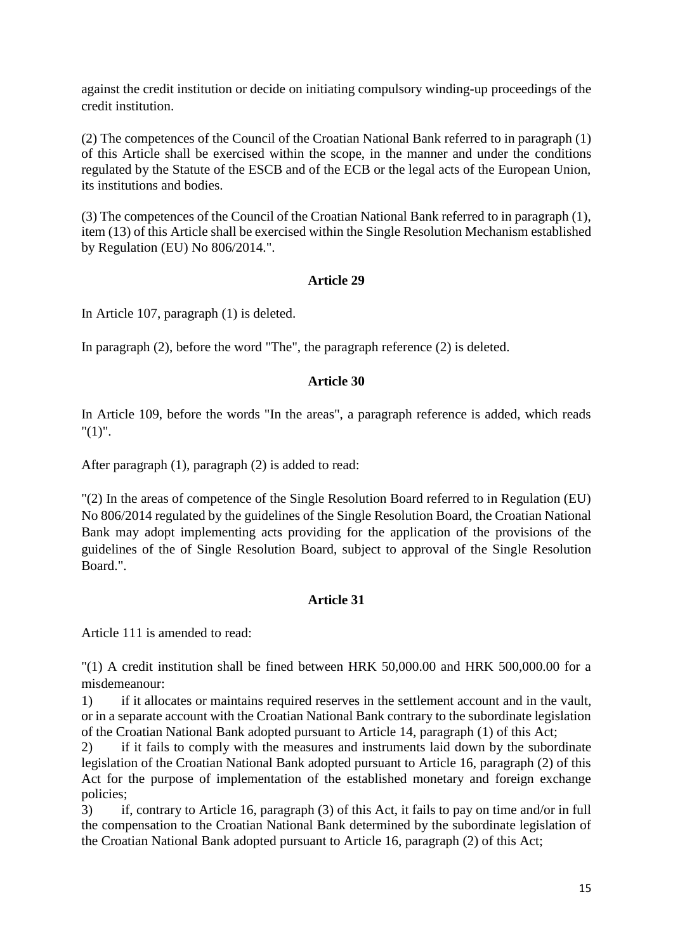against the credit institution or decide on initiating compulsory winding-up proceedings of the credit institution.

(2) The competences of the Council of the Croatian National Bank referred to in paragraph (1) of this Article shall be exercised within the scope, in the manner and under the conditions regulated by the Statute of the ESCB and of the ECB or the legal acts of the European Union, its institutions and bodies.

(3) The competences of the Council of the Croatian National Bank referred to in paragraph (1), item (13) of this Article shall be exercised within the Single Resolution Mechanism established by Regulation (EU) No 806/2014.".

## **Article 29**

In Article 107, paragraph (1) is deleted.

In paragraph (2), before the word "The", the paragraph reference (2) is deleted.

## **Article 30**

In Article 109, before the words "In the areas", a paragraph reference is added, which reads  $"(1)"$ .

After paragraph (1), paragraph (2) is added to read:

"(2) In the areas of competence of the Single Resolution Board referred to in Regulation (EU) No 806/2014 regulated by the guidelines of the Single Resolution Board, the Croatian National Bank may adopt implementing acts providing for the application of the provisions of the guidelines of the of Single Resolution Board, subject to approval of the Single Resolution Board.".

# **Article 31**

Article 111 is amended to read:

"(1) A credit institution shall be fined between HRK 50,000.00 and HRK 500,000.00 for a misdemeanour:

1) if it allocates or maintains required reserves in the settlement account and in the vault, or in a separate account with the Croatian National Bank contrary to the subordinate legislation of the Croatian National Bank adopted pursuant to Article 14, paragraph (1) of this Act;

2) if it fails to comply with the measures and instruments laid down by the subordinate legislation of the Croatian National Bank adopted pursuant to Article 16, paragraph (2) of this Act for the purpose of implementation of the established monetary and foreign exchange policies;

3) if, contrary to Article 16, paragraph (3) of this Act, it fails to pay on time and/or in full the compensation to the Croatian National Bank determined by the subordinate legislation of the Croatian National Bank adopted pursuant to Article 16, paragraph (2) of this Act;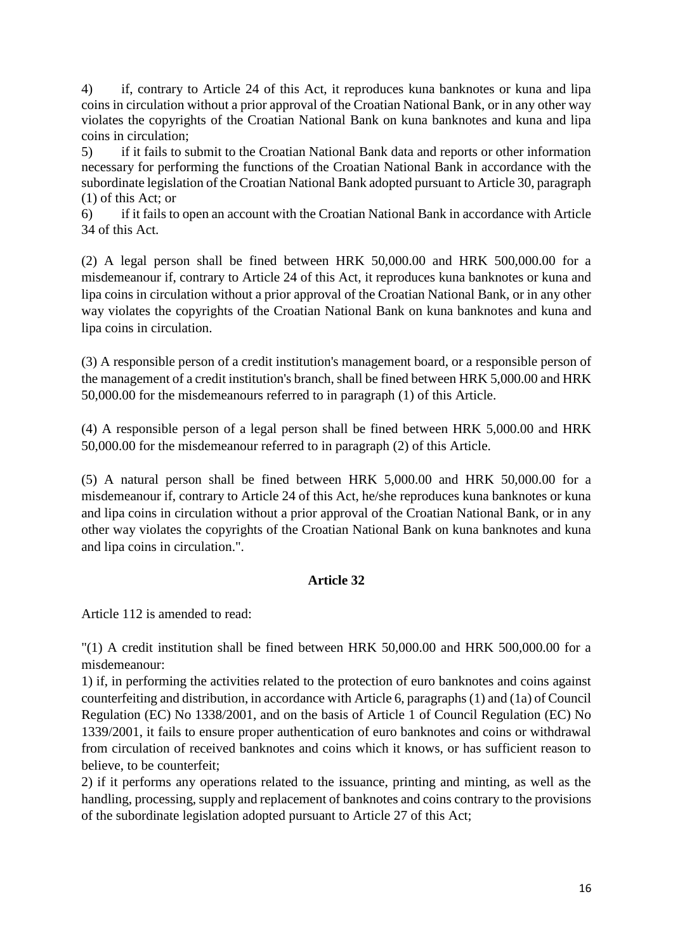4) if, contrary to Article 24 of this Act, it reproduces kuna banknotes or kuna and lipa coins in circulation without a prior approval of the Croatian National Bank, or in any other way violates the copyrights of the Croatian National Bank on kuna banknotes and kuna and lipa coins in circulation;

5) if it fails to submit to the Croatian National Bank data and reports or other information necessary for performing the functions of the Croatian National Bank in accordance with the subordinate legislation of the Croatian National Bank adopted pursuant to Article 30, paragraph (1) of this Act; or

6) if it fails to open an account with the Croatian National Bank in accordance with Article 34 of this Act.

(2) A legal person shall be fined between HRK 50,000.00 and HRK 500,000.00 for a misdemeanour if, contrary to Article 24 of this Act, it reproduces kuna banknotes or kuna and lipa coins in circulation without a prior approval of the Croatian National Bank, or in any other way violates the copyrights of the Croatian National Bank on kuna banknotes and kuna and lipa coins in circulation.

(3) A responsible person of a credit institution's management board, or a responsible person of the management of a credit institution's branch, shall be fined between HRK 5,000.00 and HRK 50,000.00 for the misdemeanours referred to in paragraph (1) of this Article.

(4) A responsible person of a legal person shall be fined between HRK 5,000.00 and HRK 50,000.00 for the misdemeanour referred to in paragraph (2) of this Article.

(5) A natural person shall be fined between HRK 5,000.00 and HRK 50,000.00 for a misdemeanour if, contrary to Article 24 of this Act, he/she reproduces kuna banknotes or kuna and lipa coins in circulation without a prior approval of the Croatian National Bank, or in any other way violates the copyrights of the Croatian National Bank on kuna banknotes and kuna and lipa coins in circulation.".

# **Article 32**

Article 112 is amended to read:

"(1) A credit institution shall be fined between HRK 50,000.00 and HRK 500,000.00 for a misdemeanour:

1) if, in performing the activities related to the protection of euro banknotes and coins against counterfeiting and distribution, in accordance with Article 6, paragraphs (1) and (1a) of Council Regulation (EC) No 1338/2001, and on the basis of Article 1 of Council Regulation (EC) No 1339/2001, it fails to ensure proper authentication of euro banknotes and coins or withdrawal from circulation of received banknotes and coins which it knows, or has sufficient reason to believe, to be counterfeit;

2) if it performs any operations related to the issuance, printing and minting, as well as the handling, processing, supply and replacement of banknotes and coins contrary to the provisions of the subordinate legislation adopted pursuant to Article 27 of this Act;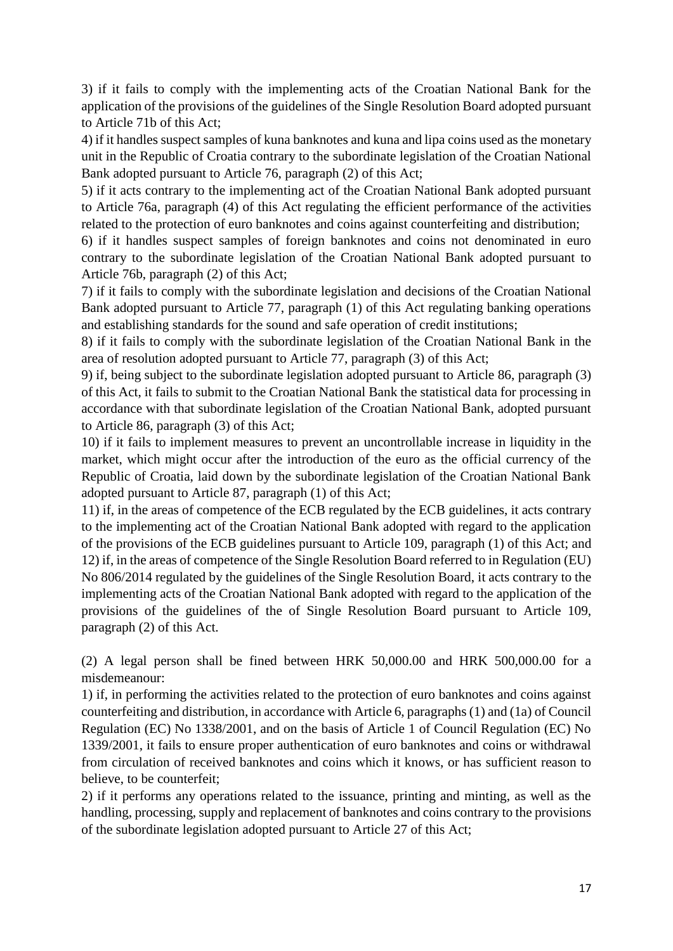3) if it fails to comply with the implementing acts of the Croatian National Bank for the application of the provisions of the guidelines of the Single Resolution Board adopted pursuant to Article 71b of this Act;

4) if it handles suspect samples of kuna banknotes and kuna and lipa coins used as the monetary unit in the Republic of Croatia contrary to the subordinate legislation of the Croatian National Bank adopted pursuant to Article 76, paragraph (2) of this Act;

5) if it acts contrary to the implementing act of the Croatian National Bank adopted pursuant to Article 76a, paragraph (4) of this Act regulating the efficient performance of the activities related to the protection of euro banknotes and coins against counterfeiting and distribution;

6) if it handles suspect samples of foreign banknotes and coins not denominated in euro contrary to the subordinate legislation of the Croatian National Bank adopted pursuant to Article 76b, paragraph (2) of this Act;

7) if it fails to comply with the subordinate legislation and decisions of the Croatian National Bank adopted pursuant to Article 77, paragraph (1) of this Act regulating banking operations and establishing standards for the sound and safe operation of credit institutions;

8) if it fails to comply with the subordinate legislation of the Croatian National Bank in the area of resolution adopted pursuant to Article 77, paragraph (3) of this Act;

9) if, being subject to the subordinate legislation adopted pursuant to Article 86, paragraph (3) of this Act, it fails to submit to the Croatian National Bank the statistical data for processing in accordance with that subordinate legislation of the Croatian National Bank, adopted pursuant to Article 86, paragraph (3) of this Act;

10) if it fails to implement measures to prevent an uncontrollable increase in liquidity in the market, which might occur after the introduction of the euro as the official currency of the Republic of Croatia, laid down by the subordinate legislation of the Croatian National Bank adopted pursuant to Article 87, paragraph (1) of this Act;

11) if, in the areas of competence of the ECB regulated by the ECB guidelines, it acts contrary to the implementing act of the Croatian National Bank adopted with regard to the application of the provisions of the ECB guidelines pursuant to Article 109, paragraph (1) of this Act; and 12) if, in the areas of competence of the Single Resolution Board referred to in Regulation (EU) No 806/2014 regulated by the guidelines of the Single Resolution Board, it acts contrary to the implementing acts of the Croatian National Bank adopted with regard to the application of the provisions of the guidelines of the of Single Resolution Board pursuant to Article 109, paragraph (2) of this Act.

(2) A legal person shall be fined between HRK 50,000.00 and HRK 500,000.00 for a misdemeanour:

1) if, in performing the activities related to the protection of euro banknotes and coins against counterfeiting and distribution, in accordance with Article 6, paragraphs (1) and (1a) of Council Regulation (EC) No 1338/2001, and on the basis of Article 1 of Council Regulation (EC) No 1339/2001, it fails to ensure proper authentication of euro banknotes and coins or withdrawal from circulation of received banknotes and coins which it knows, or has sufficient reason to believe, to be counterfeit;

2) if it performs any operations related to the issuance, printing and minting, as well as the handling, processing, supply and replacement of banknotes and coins contrary to the provisions of the subordinate legislation adopted pursuant to Article 27 of this Act;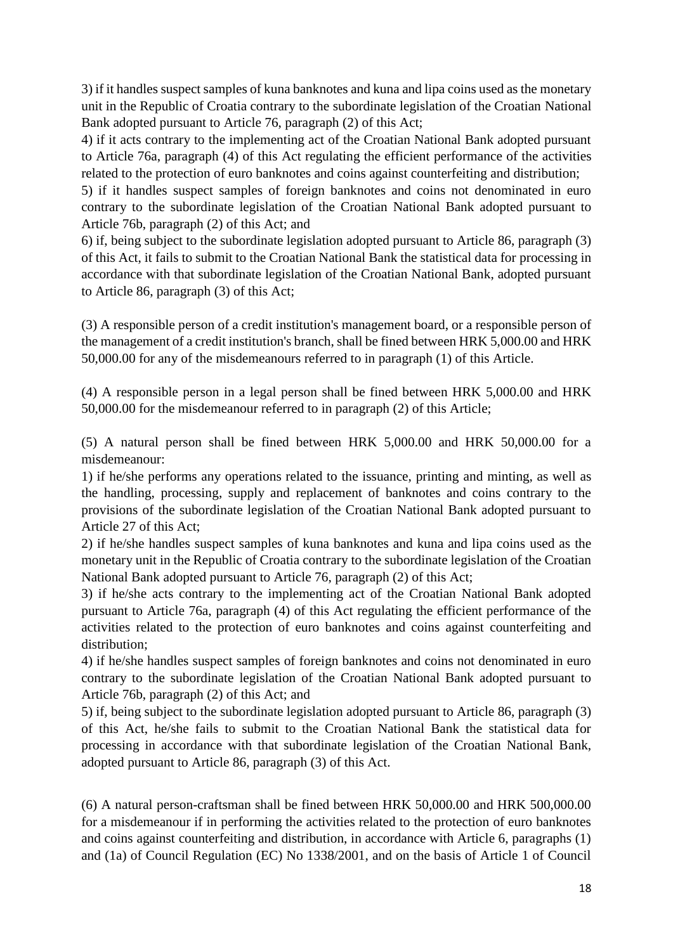3) if it handles suspect samples of kuna banknotes and kuna and lipa coins used as the monetary unit in the Republic of Croatia contrary to the subordinate legislation of the Croatian National Bank adopted pursuant to Article 76, paragraph (2) of this Act;

4) if it acts contrary to the implementing act of the Croatian National Bank adopted pursuant to Article 76a, paragraph (4) of this Act regulating the efficient performance of the activities related to the protection of euro banknotes and coins against counterfeiting and distribution;

5) if it handles suspect samples of foreign banknotes and coins not denominated in euro contrary to the subordinate legislation of the Croatian National Bank adopted pursuant to Article 76b, paragraph (2) of this Act; and

6) if, being subject to the subordinate legislation adopted pursuant to Article 86, paragraph (3) of this Act, it fails to submit to the Croatian National Bank the statistical data for processing in accordance with that subordinate legislation of the Croatian National Bank, adopted pursuant to Article 86, paragraph (3) of this Act;

(3) A responsible person of a credit institution's management board, or a responsible person of the management of a credit institution's branch, shall be fined between HRK 5,000.00 and HRK 50,000.00 for any of the misdemeanours referred to in paragraph (1) of this Article.

(4) A responsible person in a legal person shall be fined between HRK 5,000.00 and HRK 50,000.00 for the misdemeanour referred to in paragraph (2) of this Article;

(5) A natural person shall be fined between HRK 5,000.00 and HRK 50,000.00 for a misdemeanour:

1) if he/she performs any operations related to the issuance, printing and minting, as well as the handling, processing, supply and replacement of banknotes and coins contrary to the provisions of the subordinate legislation of the Croatian National Bank adopted pursuant to Article 27 of this Act;

2) if he/she handles suspect samples of kuna banknotes and kuna and lipa coins used as the monetary unit in the Republic of Croatia contrary to the subordinate legislation of the Croatian National Bank adopted pursuant to Article 76, paragraph (2) of this Act;

3) if he/she acts contrary to the implementing act of the Croatian National Bank adopted pursuant to Article 76a, paragraph (4) of this Act regulating the efficient performance of the activities related to the protection of euro banknotes and coins against counterfeiting and distribution;

4) if he/she handles suspect samples of foreign banknotes and coins not denominated in euro contrary to the subordinate legislation of the Croatian National Bank adopted pursuant to Article 76b, paragraph (2) of this Act; and

5) if, being subject to the subordinate legislation adopted pursuant to Article 86, paragraph (3) of this Act, he/she fails to submit to the Croatian National Bank the statistical data for processing in accordance with that subordinate legislation of the Croatian National Bank, adopted pursuant to Article 86, paragraph (3) of this Act.

(6) A natural person-craftsman shall be fined between HRK 50,000.00 and HRK 500,000.00 for a misdemeanour if in performing the activities related to the protection of euro banknotes and coins against counterfeiting and distribution, in accordance with Article 6, paragraphs (1) and (1a) of Council Regulation (EC) No 1338/2001, and on the basis of Article 1 of Council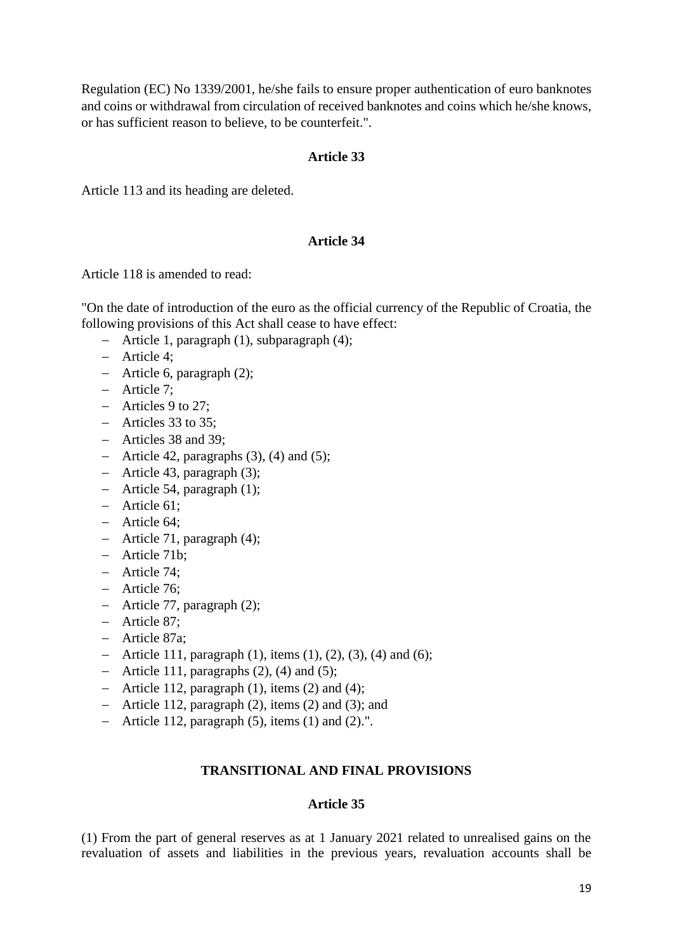Regulation (EC) No 1339/2001, he/she fails to ensure proper authentication of euro banknotes and coins or withdrawal from circulation of received banknotes and coins which he/she knows, or has sufficient reason to believe, to be counterfeit.".

### **Article 33**

Article 113 and its heading are deleted.

### **Article 34**

Article 118 is amended to read:

"On the date of introduction of the euro as the official currency of the Republic of Croatia, the following provisions of this Act shall cease to have effect:

- $-$  Article 1, paragraph (1), subparagraph (4);
- Article 4;
- Article 6, paragraph (2);
- Article 7;
- Articles 9 to 27:
- Articles 33 to 35;
- Articles 38 and 39;
- Article 42, paragraphs  $(3)$ ,  $(4)$  and  $(5)$ ;
- Article 43, paragraph (3);
- $-$  Article 54, paragraph  $(1)$ ;
- $-$  Article 61:
- Article 64;
- Article 71, paragraph (4);
- Article 71b;
- Article 74;
- Article 76:
- Article 77, paragraph (2);
- Article 87;
- Article 87a;
- Article 111, paragraph  $(1)$ , items  $(1)$ ,  $(2)$ ,  $(3)$ ,  $(4)$  and  $(6)$ ;
- Article 111, paragraphs  $(2)$ ,  $(4)$  and  $(5)$ ;
- Article 112, paragraph  $(1)$ , items  $(2)$  and  $(4)$ ;
- Article 112, paragraph (2), items (2) and (3); and
- Article 112, paragraph  $(5)$ , items  $(1)$  and  $(2)$ .".

# **TRANSITIONAL AND FINAL PROVISIONS**

### **Article 35**

(1) From the part of general reserves as at 1 January 2021 related to unrealised gains on the revaluation of assets and liabilities in the previous years, revaluation accounts shall be